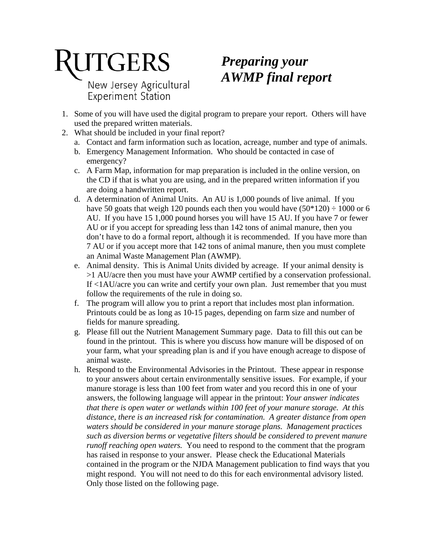# **RUTGERS** New Jersey Agricultural Experiment Station

## *Preparing your AWMP final report*

- 1. Some of you will have used the digital program to prepare your report. Others will have used the prepared written materials.
- 2. What should be included in your final report?
	- a. Contact and farm information such as location, acreage, number and type of animals.
	- b. Emergency Management Information. Who should be contacted in case of emergency?
	- c. A Farm Map, information for map preparation is included in the online version, on the CD if that is what you are using, and in the prepared written information if you are doing a handwritten report.
	- d. A determination of Animal Units. An AU is 1,000 pounds of live animal. If you have 50 goats that weigh 120 pounds each then you would have  $(50*120) \div 1000$  or 6 AU. If you have 15 1,000 pound horses you will have 15 AU. If you have 7 or fewer AU or if you accept for spreading less than 142 tons of animal manure, then you don't have to do a formal report, although it is recommended. If you have more than 7 AU or if you accept more that 142 tons of animal manure, then you must complete an Animal Waste Management Plan (AWMP).
	- e. Animal density. This is Animal Units divided by acreage. If your animal density is >1 AU/acre then you must have your AWMP certified by a conservation professional. If <1AU/acre you can write and certify your own plan. Just remember that you must follow the requirements of the rule in doing so.
	- f. The program will allow you to print a report that includes most plan information. Printouts could be as long as 10-15 pages, depending on farm size and number of fields for manure spreading.
	- g. Please fill out the Nutrient Management Summary page. Data to fill this out can be found in the printout. This is where you discuss how manure will be disposed of on your farm, what your spreading plan is and if you have enough acreage to dispose of animal waste.
	- h. Respond to the Environmental Advisories in the Printout. These appear in response to your answers about certain environmentally sensitive issues. For example, if your manure storage is less than 100 feet from water and you record this in one of your answers, the following language will appear in the printout: *Your answer indicates that there is open water or wetlands within 100 feet of your manure storage. At this distance, there is an increased risk for contamination. A greater distance from open waters should be considered in your manure storage plans. Management practices such as diversion berms or vegetative filters should be considered to prevent manure runoff reaching open waters.* You need to respond to the comment that the program has raised in response to your answer. Please check the Educational Materials contained in the program or the NJDA Management publication to find ways that you might respond. You will not need to do this for each environmental advisory listed. Only those listed on the following page.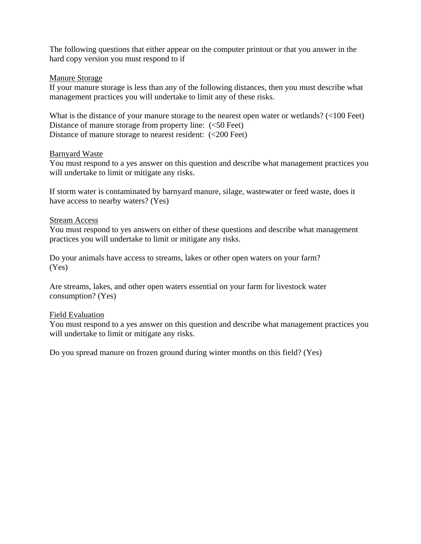The following questions that either appear on the computer printout or that you answer in the hard copy version you must respond to if

### Manure Storage

If your manure storage is less than any of the following distances, then you must describe what management practices you will undertake to limit any of these risks.

What is the distance of your manure storage to the nearest open water or wetlands? (<100 Feet) Distance of manure storage from property line:  $\langle$  <50 Feet) Distance of manure storage to nearest resident:  $\left( \langle 200 \text{ feet} \rangle \right)$ 

### Barnyard Waste

You must respond to a yes answer on this question and describe what management practices you will undertake to limit or mitigate any risks.

If storm water is contaminated by barnyard manure, silage, wastewater or feed waste, does it have access to nearby waters? (Yes)

### Stream Access

You must respond to yes answers on either of these questions and describe what management practices you will undertake to limit or mitigate any risks.

Do your animals have access to streams, lakes or other open waters on your farm? (Yes)

Are streams, lakes, and other open waters essential on your farm for livestock water consumption? (Yes)

### Field Evaluation

You must respond to a yes answer on this question and describe what management practices you will undertake to limit or mitigate any risks.

Do you spread manure on frozen ground during winter months on this field? (Yes)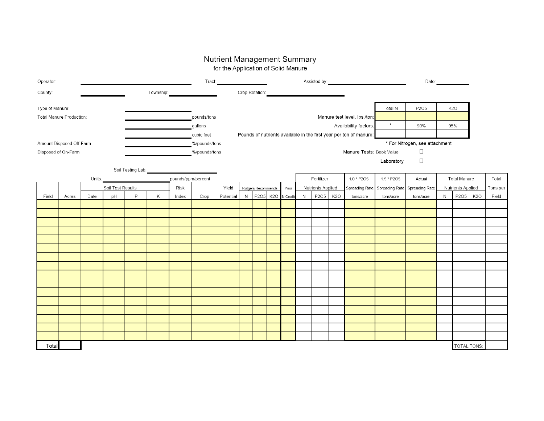# Nutrient Management Summary<br>for the Application of Solid Manure

| Operator:                |       |      |                   |                        | Tract:                   |                                                 |                                                                    |                       | Assisted by:   |                    |                  |          |                                     | Date: |            |                |                |                     |                  |             |                  |       |
|--------------------------|-------|------|-------------------|------------------------|--------------------------|-------------------------------------------------|--------------------------------------------------------------------|-----------------------|----------------|--------------------|------------------|----------|-------------------------------------|-------|------------|----------------|----------------|---------------------|------------------|-------------|------------------|-------|
| County:                  |       |      |                   |                        | Township:                |                                                 |                                                                    |                       | Crop Rotation: |                    |                  |          |                                     |       |            |                |                |                     |                  |             |                  |       |
| Type of Manure:          |       |      |                   |                        |                          |                                                 |                                                                    |                       |                |                    |                  |          |                                     |       |            | Total N        | P205           |                     | K <sub>2</sub> O |             |                  |       |
| Total Manure Production: |       |      |                   |                        | pounds/tons              | Manure test level, Ibs./ton:                    |                                                                    |                       |                |                    |                  |          |                                     |       |            |                |                |                     |                  |             |                  |       |
|                          |       |      |                   |                        |                          |                                                 | gallons                                                            | Availability factors: |                |                    |                  |          |                                     |       | $\star$    | 90%            |                | 95%                 |                  |             |                  |       |
|                          |       |      |                   |                        |                          | cubic feet                                      | Pounds of nutrients available in the first year per ton of manure: |                       |                |                    |                  |          |                                     |       |            |                |                |                     |                  |             |                  |       |
| Amount Disposed Off-Farm |       |      |                   |                        |                          | * For Nitrogen, see attachment<br>%/pounds/tons |                                                                    |                       |                |                    |                  |          |                                     |       |            |                |                |                     |                  |             |                  |       |
| Disposed of On-Farm      |       |      |                   | %/pounds/tons          | Manure Tests: Book Value |                                                 |                                                                    |                       |                |                    |                  |          | $\Box$                              |       |            |                |                |                     |                  |             |                  |       |
|                          |       |      |                   |                        |                          |                                                 |                                                                    |                       |                |                    |                  |          |                                     |       |            |                | Laboratory     | $\Box$              |                  |             |                  |       |
|                          |       |      |                   | Soil Testing Lab: 2008 |                          |                                                 |                                                                    |                       |                |                    |                  |          |                                     |       |            |                |                |                     |                  |             |                  |       |
| Units:                   |       |      |                   |                        |                          | pounds/ppm/percent                              |                                                                    |                       |                |                    |                  |          | Fertilizer<br>1.0 * P2O5            |       |            | 1.5 * P2O5     | Actual         | <b>Total Manure</b> |                  |             | Total            |       |
|                          |       |      | Soil Test Results |                        |                          | Risk                                            |                                                                    | Yield                 |                | Rutgers Recommends |                  | Prior    | Nutrients Applied<br>Spreading Rate |       |            | Spreading Rate | Spreading Rate | Nutrients Applied   |                  |             | Tons per         |       |
| Field                    | Acres | Date | pH                | P                      | Κ                        | Index                                           | Crop                                                               | Potential             | $\mathsf{N}$   | P2O5               | K <sub>2</sub> O | N Credit | $\mathsf{N}$                        | P2O5  | <b>K20</b> | tons/acre      | tons/acre      | tons/acre           | N                | P205        | K <sub>2</sub> O | Field |
|                          |       |      |                   |                        |                          |                                                 |                                                                    |                       |                |                    |                  |          |                                     |       |            |                |                |                     |                  |             |                  |       |
|                          |       |      |                   |                        |                          |                                                 |                                                                    |                       |                |                    |                  |          |                                     |       |            |                |                |                     |                  |             |                  |       |
|                          |       |      |                   |                        |                          |                                                 |                                                                    |                       |                |                    |                  |          |                                     |       |            |                |                |                     |                  |             |                  |       |
|                          |       |      |                   |                        |                          |                                                 |                                                                    |                       |                |                    |                  |          |                                     |       |            |                |                |                     |                  |             |                  |       |
|                          |       |      |                   |                        |                          |                                                 |                                                                    |                       |                |                    |                  |          |                                     |       |            |                |                |                     |                  |             |                  |       |
|                          |       |      |                   |                        |                          |                                                 |                                                                    |                       |                |                    |                  |          |                                     |       |            |                |                |                     |                  |             |                  |       |
|                          |       |      |                   |                        |                          |                                                 |                                                                    |                       |                |                    |                  |          |                                     |       |            |                |                |                     |                  |             |                  |       |
|                          |       |      |                   |                        |                          |                                                 |                                                                    |                       |                |                    |                  |          |                                     |       |            |                |                |                     |                  |             |                  |       |
|                          |       |      |                   |                        |                          |                                                 |                                                                    |                       |                |                    |                  |          |                                     |       |            |                |                |                     |                  |             |                  |       |
|                          |       |      |                   |                        |                          |                                                 |                                                                    |                       |                |                    |                  |          |                                     |       |            |                |                |                     |                  |             |                  |       |
|                          |       |      |                   |                        |                          |                                                 |                                                                    |                       |                |                    |                  |          |                                     |       |            |                |                |                     |                  |             |                  |       |
|                          |       |      |                   |                        |                          |                                                 |                                                                    |                       |                |                    |                  |          |                                     |       |            |                |                |                     |                  |             |                  |       |
|                          |       |      |                   |                        |                          |                                                 |                                                                    |                       |                |                    |                  |          |                                     |       |            |                |                |                     |                  |             |                  |       |
|                          |       |      |                   |                        |                          |                                                 |                                                                    |                       |                |                    |                  |          |                                     |       |            |                |                |                     |                  |             |                  |       |
|                          |       |      |                   |                        |                          |                                                 |                                                                    |                       |                |                    |                  |          |                                     |       |            |                |                |                     |                  |             |                  |       |
|                          |       |      |                   |                        |                          |                                                 |                                                                    |                       |                |                    |                  |          |                                     |       |            |                |                |                     |                  |             |                  |       |
| Total                    |       |      |                   |                        |                          |                                                 |                                                                    |                       |                |                    |                  |          |                                     |       |            |                |                |                     |                  | TOTAL TONS: |                  |       |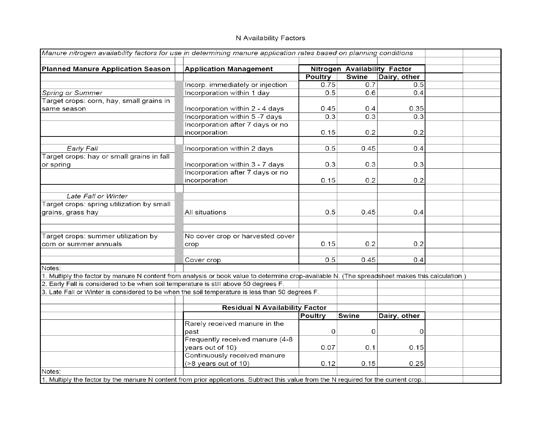### N Availability Factors

| Manure nitrogen availability factors for use in determining manure application rates based on planning conditions                               |                                       |                |                              |              |  |
|-------------------------------------------------------------------------------------------------------------------------------------------------|---------------------------------------|----------------|------------------------------|--------------|--|
| Planned Manure Application Season                                                                                                               | <b>Application Management</b>         |                | Nitrogen Availability Factor |              |  |
|                                                                                                                                                 |                                       | <b>Poultry</b> | Swine                        | Dairy, other |  |
|                                                                                                                                                 | Incorp. immediately or injection      | 0.75           | 0.7                          | 0.5          |  |
| Spring or Summer                                                                                                                                | Incorporation within 1 day            | 0.5            | 0.6                          | 0.4          |  |
| Target crops: corn, hay, small grains in                                                                                                        |                                       |                |                              |              |  |
| same season                                                                                                                                     | Incorporation within 2 - 4 days       | 0.45           | 0.4                          | 0.35         |  |
|                                                                                                                                                 | Incorporation within 5 -7 days        | 0.3            | 0.3                          | 0.3          |  |
|                                                                                                                                                 | Incorporation after 7 days or no      |                |                              |              |  |
|                                                                                                                                                 | incorporation                         | 0.15           | 0.2                          | 0.2          |  |
|                                                                                                                                                 |                                       |                |                              |              |  |
| Early Fall                                                                                                                                      | Incorporation within 2 days           | 0.5            | 0.45                         | 0.4          |  |
| Target crops: hay or small grains in fall                                                                                                       |                                       |                |                              |              |  |
| or spring                                                                                                                                       | Incorporation within 3 - 7 days       | 0.3            | 0.3                          | 0.3          |  |
|                                                                                                                                                 | Incorporation after 7 days or no      |                |                              |              |  |
|                                                                                                                                                 | incorporation                         | 0.15           | 0.2                          | 0.2          |  |
|                                                                                                                                                 |                                       |                |                              |              |  |
| Late Fall or Winter                                                                                                                             |                                       |                |                              |              |  |
| Target crops: spring utilization by small                                                                                                       |                                       |                |                              |              |  |
| grains, grass hay                                                                                                                               | All situations                        | 0.5            | 0.45                         | 0.4          |  |
|                                                                                                                                                 |                                       |                |                              |              |  |
|                                                                                                                                                 | No cover crop or harvested cover      |                |                              |              |  |
| Target crops: summer utilization by<br>corn or summer annuals                                                                                   |                                       | 0.15           | 0.2                          | 0.2          |  |
|                                                                                                                                                 | crop                                  |                |                              |              |  |
|                                                                                                                                                 | Cover crop                            | 0.5            | 0.45                         | 0.4          |  |
| Notes:                                                                                                                                          |                                       |                |                              |              |  |
| 1. Multiply the factor by manure N content from analysis or book value to determine crop-available N. (The spreadsheet makes this calculation.) |                                       |                |                              |              |  |
| 2. Early Fall is considered to be when soil temperature is still above 50 degrees F.                                                            |                                       |                |                              |              |  |
| 3. Late Fall or Winter is considered to be when the soil temperature is less than 50 degrees F.                                                 |                                       |                |                              |              |  |
|                                                                                                                                                 |                                       |                |                              |              |  |
|                                                                                                                                                 | <b>Residual N Availability Factor</b> |                |                              |              |  |
|                                                                                                                                                 |                                       | <b>Poultry</b> | Swine                        | Dairy, other |  |
|                                                                                                                                                 | Rarely received manure in the         |                |                              |              |  |
|                                                                                                                                                 | past                                  | 0              | 0                            | 0            |  |
|                                                                                                                                                 | Frequently received manure (4-8       |                |                              |              |  |
|                                                                                                                                                 | years out of 10)                      | 0.07           | 0.1                          | 0.15         |  |
|                                                                                                                                                 | Continuously received manure          |                |                              |              |  |
|                                                                                                                                                 | (>8 years out of 10)                  | 0.12           | 0.15                         | 0.25         |  |
| Notes:                                                                                                                                          |                                       |                |                              |              |  |
| 1. Multiply the factor by the manure N content from prior applications. Subtract this value from the N required for the current crop.           |                                       |                |                              |              |  |